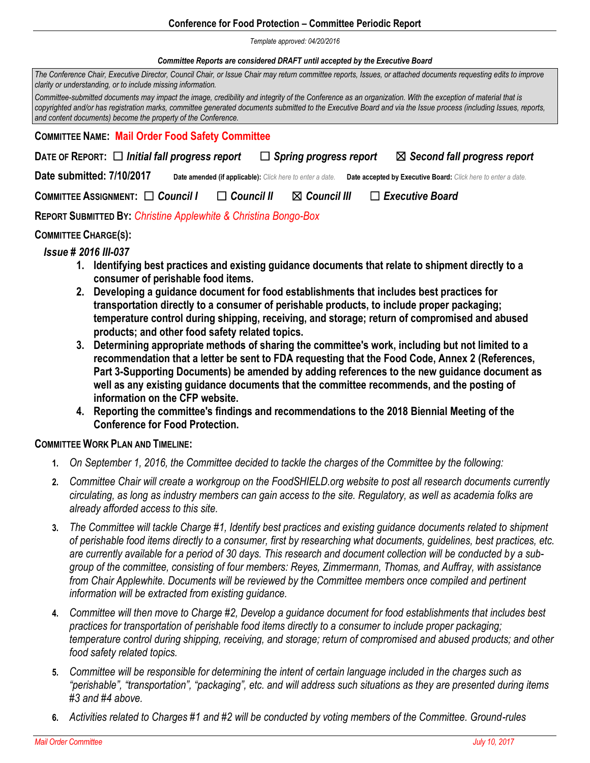#### **Conference for Food Protection – Committee Periodic Report**

*Template approved: 04/20/2016*

#### *Committee Reports are considered DRAFT until accepted by the Executive Board*

*The Conference Chair, Executive Director, Council Chair, or Issue Chair may return committee reports, Issues, or attached documents requesting edits to improve clarity or understanding, or to include missing information.* 

*Committee-submitted documents may impact the image, credibility and integrity of the Conference as an organization. With the exception of material that is copyrighted and/or has registration marks, committee generated documents submitted to the Executive Board and via the Issue process (including Issues, reports, and content documents) become the property of the Conference.*

#### **COMMITTEE NAME: Mail Order Food Safety Committee**

| DATE OF REPORT: $\Box$ Initial fall progress report |  |                                                           | $\Box$ Spring progress report |  | $\boxtimes$ Second fall progress report                       |
|-----------------------------------------------------|--|-----------------------------------------------------------|-------------------------------|--|---------------------------------------------------------------|
| Date submitted: 7/10/2017                           |  | Date amended (if applicable): Click here to enter a date. |                               |  | Date accepted by Executive Board: Click here to enter a date. |
| COMMITTEE ASSIGNMENT: □ Council I                   |  | $\Box$ Council II                                         | $\boxtimes$ Council III       |  | $\Box$ Executive Board                                        |
|                                                     |  |                                                           |                               |  |                                                               |

**REPORT SUBMITTED BY:** *Christine Applewhite & Christina Bongo-Box*

# **COMMITTEE CHARGE(S):**

# *Issue # 2016 III-037*

- **1. Identifying best practices and existing guidance documents that relate to shipment directly to a consumer of perishable food items.**
- **2. Developing a guidance document for food establishments that includes best practices for transportation directly to a consumer of perishable products, to include proper packaging; temperature control during shipping, receiving, and storage; return of compromised and abused products; and other food safety related topics.**
- **3. Determining appropriate methods of sharing the committee's work, including but not limited to a recommendation that a letter be sent to FDA requesting that the Food Code, Annex 2 (References, Part 3-Supporting Documents) be amended by adding references to the new guidance document as well as any existing guidance documents that the committee recommends, and the posting of information on the CFP website.**
- **4. Reporting the committee's findings and recommendations to the 2018 Biennial Meeting of the Conference for Food Protection.**

# **COMMITTEE WORK PLAN AND TIMELINE:**

- **1.** *On September 1, 2016, the Committee decided to tackle the charges of the Committee by the following:*
- **2.** *Committee Chair will create a workgroup on the FoodSHIELD.org website to post all research documents currently circulating, as long as industry members can gain access to the site. Regulatory, as well as academia folks are already afforded access to this site.*
- **3.** *The Committee will tackle Charge #1, Identify best practices and existing guidance documents related to shipment of perishable food items directly to a consumer, first by researching what documents, guidelines, best practices, etc. are currently available for a period of 30 days. This research and document collection will be conducted by a subgroup of the committee, consisting of four members: Reyes, Zimmermann, Thomas, and Auffray, with assistance from Chair Applewhite. Documents will be reviewed by the Committee members once compiled and pertinent information will be extracted from existing guidance.*
- **4.** *Committee will then move to Charge #2, Develop a guidance document for food establishments that includes best practices for transportation of perishable food items directly to a consumer to include proper packaging; temperature control during shipping, receiving, and storage; return of compromised and abused products; and other food safety related topics.*
- **5.** *Committee will be responsible for determining the intent of certain language included in the charges such as "perishable", "transportation", "packaging", etc. and will address such situations as they are presented during items #3 and #4 above.*
- **6.** *Activities related to Charges #1 and #2 will be conducted by voting members of the Committee. Ground-rules*